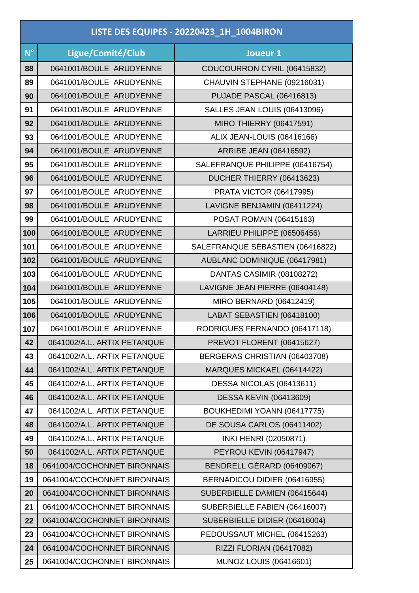|             | LISTE DES EQUIPES - 20220423_1H_1004BIRON |                                  |  |
|-------------|-------------------------------------------|----------------------------------|--|
| $N^{\circ}$ | Ligue/Comité/Club                         | Joueur 1                         |  |
| 88          | 0641001/BOULE ARUDYENNE                   | COUCOURRON CYRIL (06415832)      |  |
| 89          | 0641001/BOULE ARUDYENNE                   | CHAUVIN STEPHANE (09216031)      |  |
| 90          | 0641001/BOULE ARUDYENNE                   | PUJADE PASCAL (06416813)         |  |
| 91          | 0641001/BOULE ARUDYENNE                   | SALLES JEAN LOUIS (06413096)     |  |
| 92          | 0641001/BOULE ARUDYENNE                   | <b>MIRO THIERRY (06417591)</b>   |  |
| 93          | 0641001/BOULE ARUDYENNE                   | ALIX JEAN-LOUIS (06416166)       |  |
| 94          | 0641001/BOULE ARUDYENNE                   | <b>ARRIBE JEAN (06416592)</b>    |  |
| 95          | 0641001/BOULE ARUDYENNE                   | SALEFRANQUE PHILIPPE (06416754)  |  |
| 96          | 0641001/BOULE ARUDYENNE                   | DUCHER THIERRY (06413623)        |  |
| 97          | 0641001/BOULE ARUDYENNE                   | <b>PRATA VICTOR (06417995)</b>   |  |
| 98          | 0641001/BOULE ARUDYENNE                   | LAVIGNE BENJAMIN (06411224)      |  |
| 99          | 0641001/BOULE ARUDYENNE                   | <b>POSAT ROMAIN (06415163)</b>   |  |
| 100         | 0641001/BOULE ARUDYENNE                   | LARRIEU PHILIPPE (06506456)      |  |
| 101         | 0641001/BOULE ARUDYENNE                   | SALEFRANQUE SÉBASTIEN (06416822) |  |
| 102         | 0641001/BOULE ARUDYENNE                   | AUBLANC DOMINIQUE (06417981)     |  |
| 103         | 0641001/BOULE ARUDYENNE                   | DANTAS CASIMIR (08108272)        |  |
| 104         | 0641001/BOULE ARUDYENNE                   | LAVIGNE JEAN PIERRE (06404148)   |  |
| 105         | 0641001/BOULE ARUDYENNE                   | MIRO BERNARD (06412419)          |  |
| 106         | 0641001/BOULE ARUDYENNE                   | LABAT SEBASTIEN (06418100)       |  |
| 107         | 0641001/BOULE ARUDYENNE                   | RODRIGUES FERNANDO (06417118)    |  |
| 42          | 0641002/A.L. ARTIX PETANQUE               | PREVOT FLORENT (06415627)        |  |
| 43          | 0641002/A.L. ARTIX PETANQUE               | BERGERAS CHRISTIAN (06403708)    |  |
| 44          | 0641002/A.L. ARTIX PETANQUE               | MARQUES MICKAEL (06414422)       |  |
| 45          | 0641002/A.L. ARTIX PETANQUE               | DESSA NICOLAS (06413611)         |  |
| 46          | 0641002/A.L. ARTIX PETANQUE               | <b>DESSA KEVIN (06413609)</b>    |  |
| 47          | 0641002/A.L. ARTIX PETANQUE               | BOUKHEDIMI YOANN (06417775)      |  |
| 48          | 0641002/A.L. ARTIX PETANQUE               | DE SOUSA CARLOS (06411402)       |  |
| 49          | 0641002/A.L. ARTIX PETANQUE               | INKI HENRI (02050871)            |  |
| 50          | 0641002/A.L. ARTIX PETANQUE               | PEYROU KEVIN (06417947)          |  |
| 18          | 0641004/COCHONNET BIRONNAIS               | BENDRELL GÉRARD (06409067)       |  |
| 19          | 0641004/COCHONNET BIRONNAIS               | BERNADICOU DIDIER (06416955)     |  |
| 20          | 0641004/COCHONNET BIRONNAIS               | SUBERBIELLE DAMIEN (06415644)    |  |
| 21          | 0641004/COCHONNET BIRONNAIS               | SUBERBIELLE FABIEN (06416007)    |  |
| 22          | 0641004/COCHONNET BIRONNAIS               | SUBERBIELLE DIDIER (06416004)    |  |
| 23          | 0641004/COCHONNET BIRONNAIS               | PEDOUSSAUT MICHEL (06415263)     |  |
| 24          | 0641004/COCHONNET BIRONNAIS               | RIZZI FLORIAN (06417082)         |  |
| 25          | 0641004/COCHONNET BIRONNAIS               | <b>MUNOZ LOUIS (06416601)</b>    |  |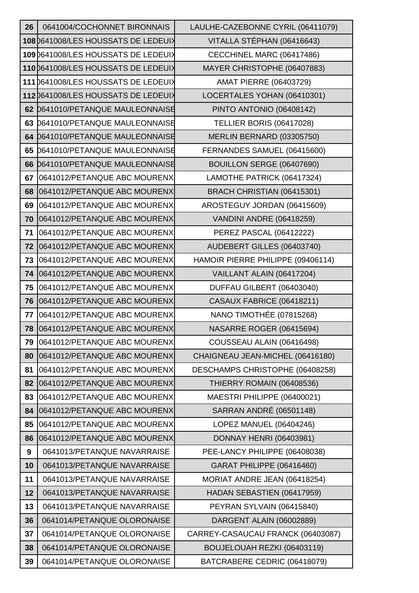| 26 | 0641004/COCHONNET BIRONNAIS          | LAULHE-CAZEBONNE CYRIL (06411079) |
|----|--------------------------------------|-----------------------------------|
|    | 108 0641008/LES HOUSSATS DE LEDEUIX  | VITALLA STÉPHAN (06416643)        |
|    | 109 0641008/LES HOUSSATS DE LEDEUIX  | CECCHINEL MARC (06417486)         |
|    | 110 0641008/LES HOUSSATS DE LEDEUIX  | MAYER CHRISTOPHE (06407883)       |
|    | 111 0641008/LES HOUSSATS DE LEDEUIX  | <b>AMAT PIERRE (06403729)</b>     |
|    | 112 0641008/LES HOUSSATS DE LEDEUIX  | LOCERTALES YOHAN (06410301)       |
|    | 62 0641010/PETANQUE MAULEONNAISE     | PINTO ANTONIO (06408142)          |
| 63 | <b>D641010/PETANQUE MAULEONNAISE</b> | <b>TELLIER BORIS (06417028)</b>   |
|    | 64 D641010/PETANQUE MAULEONNAISE     | MERLIN BERNARD (03305750)         |
| 65 | 0641010/PETANQUE MAULEONNAISE        | FERNANDES SAMUEL (06415600)       |
| 66 | 0641010/PETANQUE MAULEONNAISE        | BOUILLON SERGE (06407690)         |
| 67 | 0641012/PETANQUE ABC MOURENX         | LAMOTHE PATRICK (06417324)        |
| 68 | 0641012/PETANQUE ABC MOURENX         | BRACH CHRISTIAN (06415301)        |
| 69 | 0641012/PETANQUE ABC MOURENX         | AROSTEGUY JORDAN (06415609)       |
| 70 | 0641012/PETANQUE ABC MOURENX         | VANDINI ANDRE (06418259)          |
| 71 | 0641012/PETANQUE ABC MOURENX         | PEREZ PASCAL (06412222)           |
| 72 | 0641012/PETANQUE ABC MOURENX         | AUDEBERT GILLES (06403740)        |
| 73 | 0641012/PETANQUE ABC MOURENX         | HAMOIR PIERRE PHILIPPE (09406114) |
| 74 | 0641012/PETANQUE ABC MOURENX         | VAILLANT ALAIN (06417204)         |
| 75 | 0641012/PETANQUE ABC MOURENX         | DUFFAU GILBERT (06403040)         |
| 76 | 0641012/PETANQUE ABC MOURENX         | CASAUX FABRICE (06418211)         |
| 77 | 0641012/PETANQUE ABC MOURENX         | NANO TIMOTHÉE (07815268)          |
| 78 | 0641012/PETANQUE ABC MOURENX         | NASARRE ROGER (06415694)          |
| 79 | 0641012/PETANQUE ABC MOURENX         | COUSSEAU ALAIN (06416498)         |
| 80 | 0641012/PETANQUE ABC MOURENX         | CHAIGNEAU JEAN-MICHEL (06416180)  |
| 81 | 0641012/PETANQUE ABC MOURENX         | DESCHAMPS CHRISTOPHE (06408258)   |
| 82 | 0641012/PETANQUE ABC MOURENX         | THIERRY ROMAIN (06408536)         |
| 83 | 0641012/PETANQUE ABC MOURENX         | MAESTRI PHILIPPE (06400021)       |
| 84 | 0641012/PETANQUE ABC MOURENX         | SARRAN ANDRÉ (06501148)           |
| 85 | 0641012/PETANQUE ABC MOURENX         | LOPEZ MANUEL (06404246)           |
| 86 | 0641012/PETANQUE ABC MOURENX         | <b>DONNAY HENRI (06403981)</b>    |
| 9  | 0641013/PETANQUE NAVARRAISE          | PEE-LANCY PHILIPPE (06408038)     |
| 10 | 0641013/PETANQUE NAVARRAISE          | <b>GARAT PHILIPPE (06416460)</b>  |
| 11 | 0641013/PETANQUE NAVARRAISE          | MORIAT ANDRE JEAN (06418254)      |
| 12 | 0641013/PETANQUE NAVARRAISE          | HADAN SEBASTIEN (06417959)        |
| 13 | 0641013/PETANQUE NAVARRAISE          | PEYRAN SYLVAIN (06415840)         |
| 36 | 0641014/PETANQUE OLORONAISE          | DARGENT ALAIN (06002889)          |
| 37 | 0641014/PETANQUE OLORONAISE          | CARREY-CASAUCAU FRANCK (06403087) |
| 38 | 0641014/PETANQUE OLORONAISE          | BOUJELOUAH REZKI (06403119)       |
| 39 | 0641014/PETANQUE OLORONAISE          | BATCRABERE CEDRIC (06418079)      |